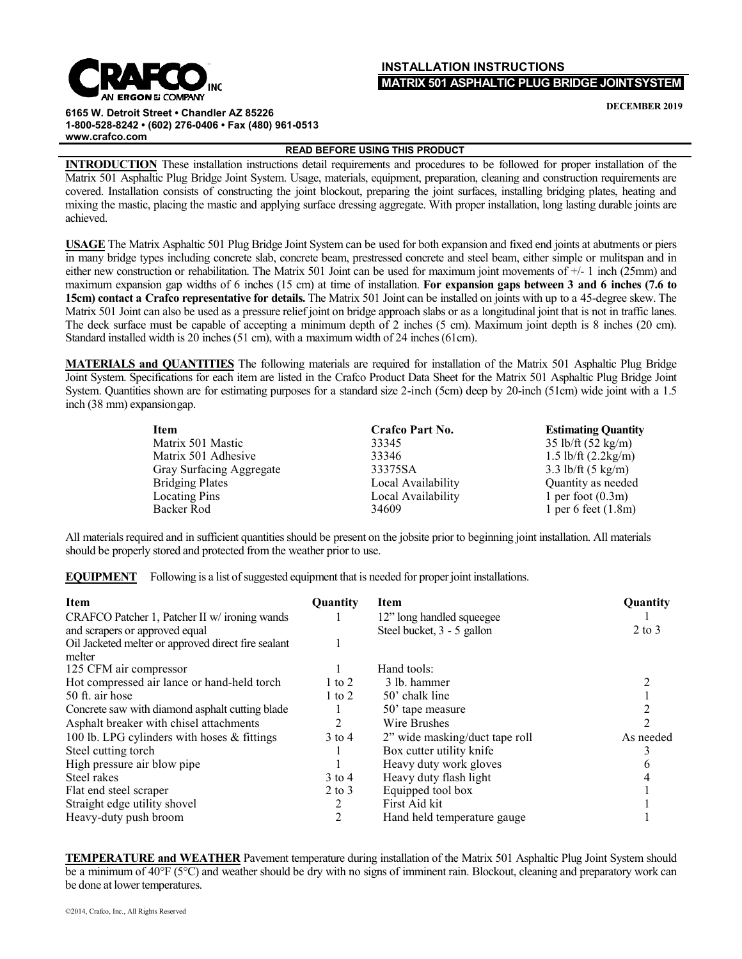## **INSTALLATION INSTRUCTIONS MATRIX 501 ASPHALTIC PLUG BRIDGE JOINTSYSTEM**

**DECEMBER 2019**

**6165 W. Detroit Street • Chandler AZ 85226 1-800-528-8242 • (602) 276-0406 • Fax (480) 961-0513 [www.crafco.com](http://www.crafco.com/)**

**READ BEFORE USING THIS PRODUCT**

**INTRODUCTION** These installation instructions detail requirements and procedures to be followed for proper installation of the Matrix 501 Asphaltic Plug Bridge Joint System. Usage, materials, equipment, preparation, cleaning and construction requirements are covered. Installation consists of constructing the joint blockout, preparing the joint surfaces, installing bridging plates, heating and mixing the mastic, placing the mastic and applying surface dressing aggregate. With proper installation, long lasting durable joints are achieved.

**USAGE** The Matrix Asphaltic 501 Plug Bridge Joint System can be used for both expansion and fixed end joints at abutments or piers in many bridge types including concrete slab, concrete beam, prestressed concrete and steel beam, either simple or mulitspan and in either new construction or rehabilitation. The Matrix 501 Joint can be used for maximum joint movements of +/- 1 inch (25mm) and maximum expansion gap widths of 6 inches (15 cm) at time of installation. **For expansion gaps between 3 and 6 inches (7.6 to 15cm) contact a Crafco representative for details.** The Matrix 501 Joint can be installed on joints with up to a 45-degree skew. The Matrix 501 Joint can also be used as a pressure relief joint on bridge approach slabs or as a longitudinal joint that is not in traffic lanes. The deck surface must be capable of accepting a minimum depth of 2 inches (5 cm). Maximum joint depth is 8 inches (20 cm). Standard installed width is 20 inches (51 cm), with a maximum width of 24 inches (61cm).

**MATERIALS and QUANTITIES** The following materials are required for installation of the Matrix 501 Asphaltic Plug Bridge Joint System. Specifications for each item are listed in the Crafco Product Data Sheet for the Matrix 501 Asphaltic Plug Bridge Joint System. Quantities shown are for estimating purposes for a standard size 2-inch (5cm) deep by 20-inch (51cm) wide joint with a 1.5 inch (38 mm) expansiongap.

| Item                     | Crafco Part No.    | <b>Estimating Quantity</b>     |
|--------------------------|--------------------|--------------------------------|
| Matrix 501 Mastic        | 33345              | $35$ lb/ft $(52 \text{ kg/m})$ |
| Matrix 501 Adhesive      | 33346              | 1.5 lb/ft $(2.2 \text{kg/m})$  |
| Gray Surfacing Aggregate | 33375SA            | 3.3 lb/ft $(5 \text{ kg/m})$   |
| <b>Bridging Plates</b>   | Local Availability | Quantity as needed             |
| Locating Pins            | Local Availability | 1 per foot $(0.3m)$            |
| Backer Rod               | 34609              | 1 per 6 feet $(1.8m)$          |

All materials required and in sufficient quantities should be present on the jobsite prior to beginning joint installation. All materials should be properly stored and protected from the weather prior to use.

**EQUIPMENT** Following is a list of suggested equipment that is needed for proper joint installations.

| <b>Item</b>                                         | <b>Ouantity</b> | Item                           | Quantity   |
|-----------------------------------------------------|-----------------|--------------------------------|------------|
| CRAFCO Patcher 1, Patcher II w/ ironing wands       |                 | 12" long handled squeegee      |            |
| and scrapers or approved equal                      |                 | Steel bucket, 3 - 5 gallon     | $2$ to $3$ |
| Oil Jacketed melter or approved direct fire sealant |                 |                                |            |
| melter                                              |                 |                                |            |
| 125 CFM air compressor                              |                 | Hand tools:                    |            |
| Hot compressed air lance or hand-held torch         | $1$ to $2$      | 3 lb. hammer                   |            |
| 50 ft. air hose                                     | $1$ to $2$      | 50' chalk line                 |            |
| Concrete saw with diamond asphalt cutting blade     |                 | 50' tape measure               |            |
| Asphalt breaker with chisel attachments             | 2               | Wire Brushes                   |            |
| 100 lb. LPG cylinders with hoses & fittings         | $3$ to 4        | 2" wide masking/duct tape roll | As needed  |
| Steel cutting torch                                 |                 | Box cutter utility knife       |            |
| High pressure air blow pipe                         |                 | Heavy duty work gloves         |            |
| Steel rakes                                         | $3$ to 4        | Heavy duty flash light         |            |
| Flat end steel scraper                              | $2$ to $3$      | Equipped tool box              |            |
| Straight edge utility shovel                        |                 | First Aid kit                  |            |
| Heavy-duty push broom                               |                 | Hand held temperature gauge    |            |

**TEMPERATURE and WEATHER** Pavement temperature during installation of the Matrix 501 Asphaltic Plug Joint System should be a minimum of 40°F (5°C) and weather should be dry with no signs of imminent rain. Blockout, cleaning and preparatory work can be done at lower temperatures.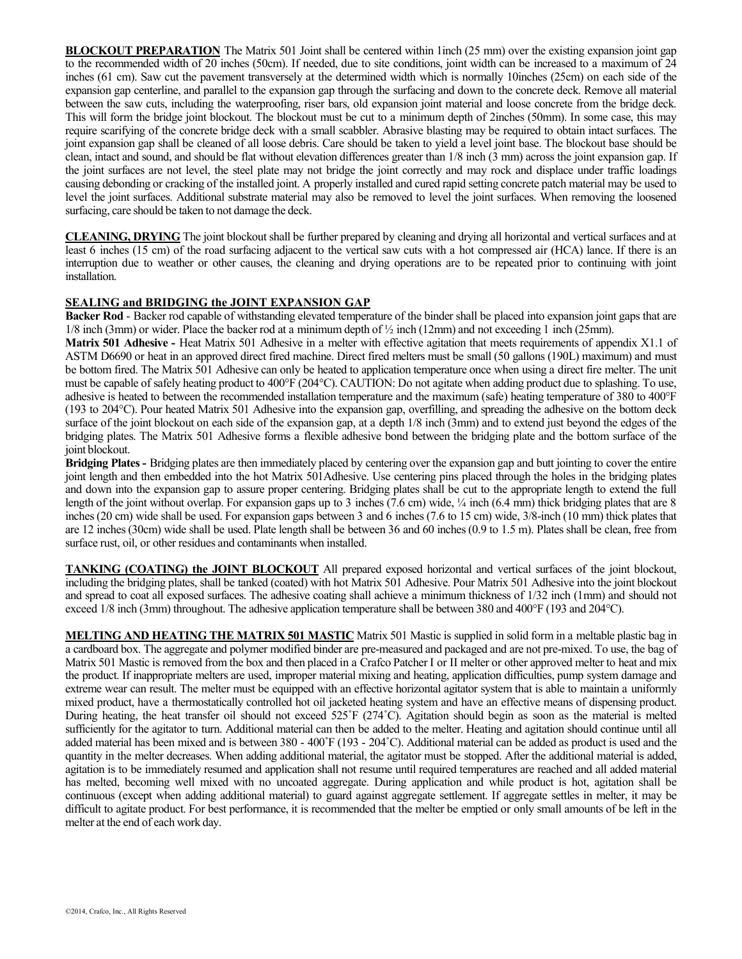**BLOCKOUT PREPARATION** The Matrix 501 Joint shall be centered within 1inch (25 mm) over the existing expansion joint gap to the recommended width of 20 inches (50cm). If needed, due to site conditions, joint width can be increased to a maximum of 24 inches (61 cm). Saw cut the pavement transversely at the determined width which is normally 10inches (25cm) on each side of the expansion gap centerline, and parallel to the expansion gap through the surfacing and down to the concrete deck. Remove all material between the saw cuts, including the waterproofing, riser bars, old expansion joint material and loose concrete from the bridge deck. This will form the bridge joint blockout. The blockout must be cut to a minimum depth of 2inches (50mm). In some case, this may require scarifying of the concrete bridge deck with a small scabbler. Abrasive blasting may be required to obtain intact surfaces. The joint expansion gap shall be cleaned of all loose debris. Care should be taken to yield a level joint base. The blockout base should be clean, intact and sound, and should be flat without elevation differences greater than 1/8 inch (3 mm) across the joint expansion gap. If the joint surfaces are not level, the steel plate may not bridge the joint correctly and may rock and displace under traffic loadings causing debonding or cracking of the installed joint. A properly installed and cured rapid setting concrete patch material may be used to level the joint surfaces. Additional substrate material may also be removed to level the joint surfaces. When removing the loosened surfacing, care should be taken to not damage the deck.

**CLEANING, DRYING** The joint blockout shall be further prepared by cleaning and drying all horizontal and vertical surfaces and at least 6 inches (15 cm) of the road surfacing adjacent to the vertical saw cuts with a hot compressed air (HCA) lance. If there is an interruption due to weather or other causes, the cleaning and drying operations are to be repeated prior to continuing with joint installation.

## **SEALING and BRIDGING the JOINT EXPANSION GAP**

**Backer Rod** - Backer rod capable of withstanding elevated temperature of the binder shall be placed into expansion joint gaps that are  $1/8$  inch (3mm) or wider. Place the backer rod at a minimum depth of  $\frac{1}{2}$  inch (12mm) and not exceeding 1 inch (25mm).

**Matrix 501 Adhesive -** Heat Matrix 501 Adhesive in a melter with effective agitation that meets requirements of appendix X1.1 of ASTM D6690 or heat in an approved direct fired machine. Direct fired melters must be small (50 gallons (190L) maximum) and must be bottom fired. The Matrix 501 Adhesive can only be heated to application temperature once when using a direct fire melter. The unit must be capable of safely heating product to 400°F (204°C). CAUTION: Do not agitate when adding product due to splashing. To use, adhesive is heated to between the recommended installation temperature and the maximum (safe) heating temperature of 380 to 400°F (193 to 204°C). Pour heated Matrix 501 Adhesive into the expansion gap, overfilling, and spreading the adhesive on the bottom deck surface of the joint blockout on each side of the expansion gap, at a depth 1/8 inch (3mm) and to extend just beyond the edges of the bridging plates. The Matrix 501 Adhesive forms a flexible adhesive bond between the bridging plate and the bottom surface of the joint blockout.

**Bridging Plates -** Bridging plates are then immediately placed by centering over the expansion gap and butt jointing to cover the entire joint length and then embedded into the hot Matrix 501Adhesive. Use centering pins placed through the holes in the bridging plates and down into the expansion gap to assure proper centering. Bridging plates shall be cut to the appropriate length to extend the full length of the joint without overlap. For expansion gaps up to 3 inches (7.6 cm) wide,  $\frac{1}{4}$  inch (6.4 mm) thick bridging plates that are 8 inches (20 cm) wide shall be used. For expansion gaps between 3 and 6 inches (7.6 to 15 cm) wide, 3/8-inch (10 mm) thick plates that are 12 inches (30cm) wide shall be used. Plate length shall be between 36 and 60 inches (0.9 to 1.5 m). Plates shall be clean, free from surface rust, oil, or other residues and contaminants when installed.

**TANKING (COATING) the JOINT BLOCKOUT** All prepared exposed horizontal and vertical surfaces of the joint blockout, including the bridging plates, shall be tanked (coated) with hot Matrix 501 Adhesive. Pour Matrix 501 Adhesive into the joint blockout and spread to coat all exposed surfaces. The adhesive coating shall achieve a minimum thickness of 1/32 inch (1mm) and should not exceed 1/8 inch (3mm) throughout. The adhesive application temperature shall be between 380 and 400°F (193 and 204°C).

**MELTING AND HEATING THE MATRIX 501 MASTIC** Matrix 501 Mastic is supplied in solid form in a meltable plastic bag in a cardboard box. The aggregate and polymer modified binder are pre-measured and packaged and are not pre-mixed. To use, the bag of Matrix 501 Mastic is removed from the box and then placed in a Crafco Patcher I or II melter or other approved melter to heat and mix the product. If inappropriate melters are used, improper material mixing and heating, application difficulties, pump system damage and extreme wear can result. The melter must be equipped with an effective horizontal agitator system that is able to maintain a uniformly mixed product, have a thermostatically controlled hot oil jacketed heating system and have an effective means of dispensing product. During heating, the heat transfer oil should not exceed 525˚F (274˚C). Agitation should begin as soon as the material is melted sufficiently for the agitator to turn. Additional material can then be added to the melter. Heating and agitation should continue until all added material has been mixed and is between 380 - 400˚F (193 - 204˚C). Additional material can be added as product is used and the quantity in the melter decreases. When adding additional material, the agitator must be stopped. After the additional material is added, agitation is to be immediately resumed and application shall not resume until required temperatures are reached and all added material has melted, becoming well mixed with no uncoated aggregate. During application and while product is hot, agitation shall be continuous (except when adding additional material) to guard against aggregate settlement. If aggregate settles in melter, it may be difficult to agitate product. For best performance, it is recommended that the melter be emptied or only small amounts of be left in the melter at the end of each work day.